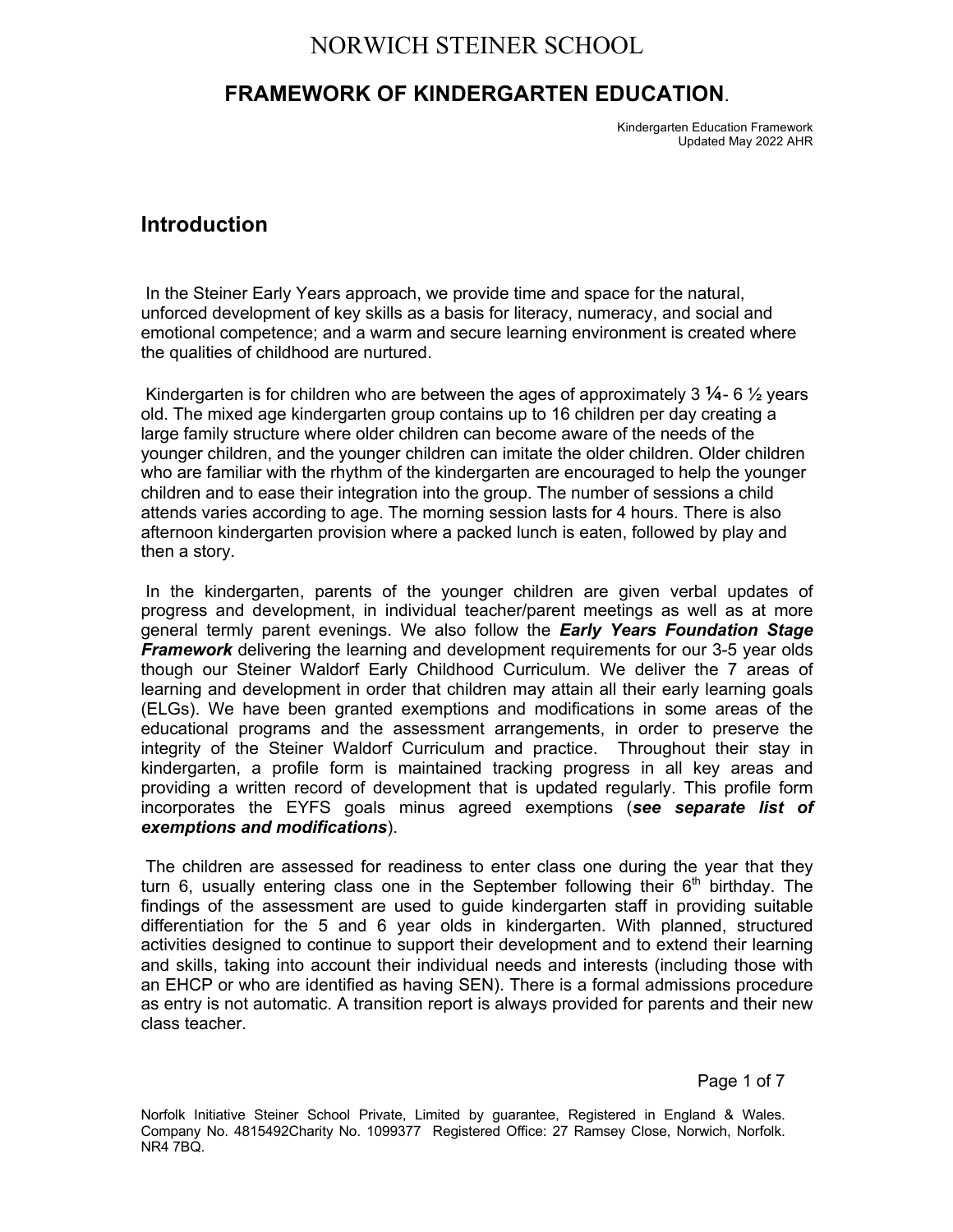## NORWICH STEINER SCHOOL

### **FRAMEWORK OF KINDERGARTEN EDUCATION**.

Kindergarten Education Framework Updated May 2022 AHR

## **Introduction**

In the Steiner Early Years approach, we provide time and space for the natural, unforced development of key skills as a basis for literacy, numeracy, and social and emotional competence; and a warm and secure learning environment is created where the qualities of childhood are nurtured.

Kindergarten is for children who are between the ages of approximately  $3\frac{1}{4}$ - 6  $\frac{1}{2}$  years old. The mixed age kindergarten group contains up to 16 children per day creating a large family structure where older children can become aware of the needs of the younger children, and the younger children can imitate the older children. Older children who are familiar with the rhythm of the kindergarten are encouraged to help the younger children and to ease their integration into the group. The number of sessions a child attends varies according to age. The morning session lasts for 4 hours. There is also afternoon kindergarten provision where a packed lunch is eaten, followed by play and then a story.

In the kindergarten, parents of the younger children are given verbal updates of progress and development, in individual teacher/parent meetings as well as at more general termly parent evenings. We also follow the *Early Years Foundation Stage Framework* delivering the learning and development requirements for our 3-5 year olds though our Steiner Waldorf Early Childhood Curriculum. We deliver the 7 areas of learning and development in order that children may attain all their early learning goals (ELGs). We have been granted exemptions and modifications in some areas of the educational programs and the assessment arrangements, in order to preserve the integrity of the Steiner Waldorf Curriculum and practice. Throughout their stay in kindergarten, a profile form is maintained tracking progress in all key areas and providing a written record of development that is updated regularly. This profile form incorporates the EYFS goals minus agreed exemptions (*see separate list of exemptions and modifications*).

The children are assessed for readiness to enter class one during the year that they turn 6, usually entering class one in the September following their  $6<sup>th</sup>$  birthday. The findings of the assessment are used to guide kindergarten staff in providing suitable differentiation for the 5 and 6 year olds in kindergarten. With planned, structured activities designed to continue to support their development and to extend their learning and skills, taking into account their individual needs and interests (including those with an EHCP or who are identified as having SEN). There is a formal admissions procedure as entry is not automatic. A transition report is always provided for parents and their new class teacher.

Page 1 of 7

Norfolk Initiative Steiner School Private, Limited by guarantee, Registered in England & Wales. Company No. 4815492Charity No. 1099377 Registered Office: 27 Ramsey Close, Norwich, Norfolk. NR4 7BQ.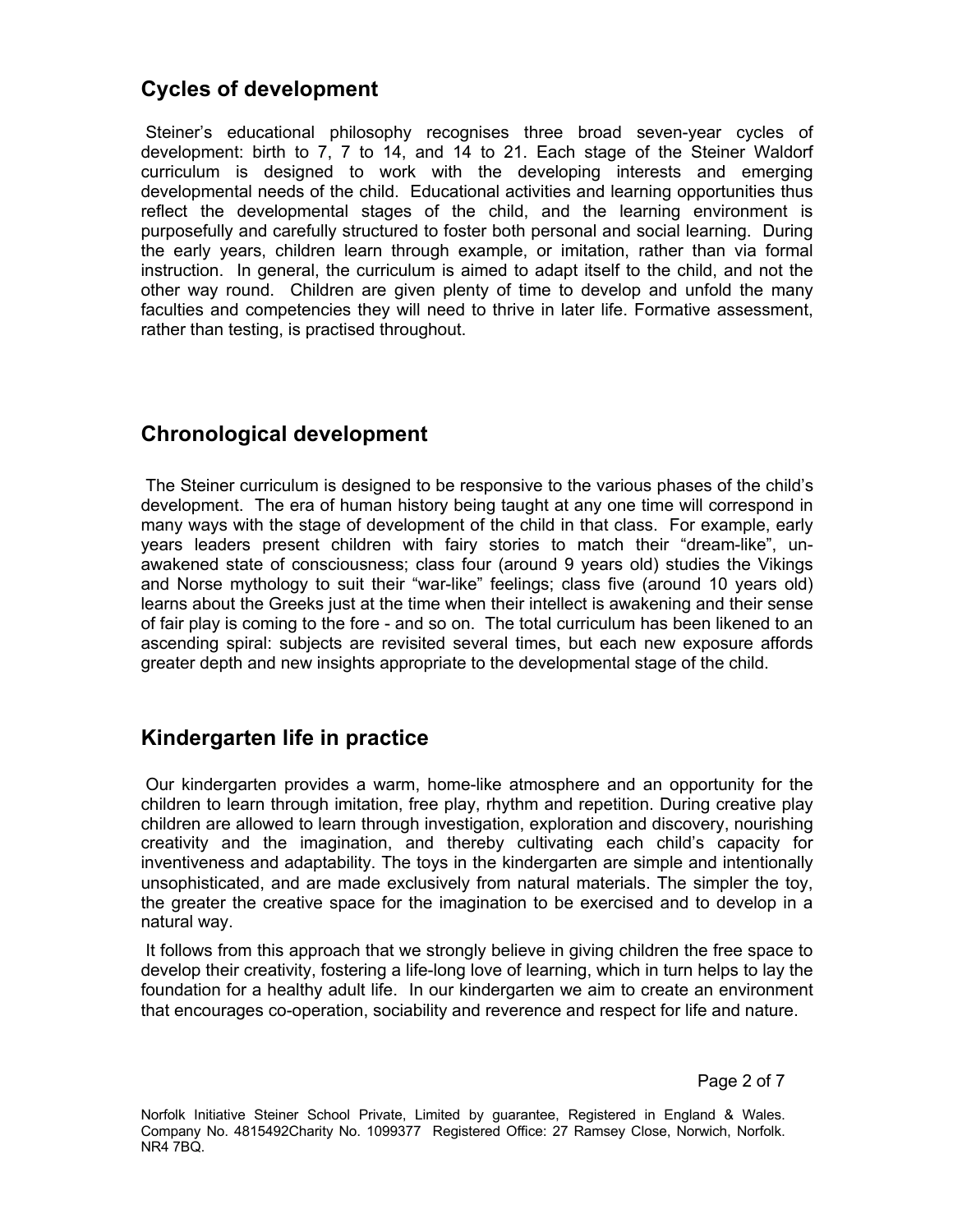## **Cycles of development**

Steiner's educational philosophy recognises three broad seven-year cycles of development: birth to 7, 7 to 14, and 14 to 21. Each stage of the Steiner Waldorf curriculum is designed to work with the developing interests and emerging developmental needs of the child. Educational activities and learning opportunities thus reflect the developmental stages of the child, and the learning environment is purposefully and carefully structured to foster both personal and social learning. During the early years, children learn through example, or imitation, rather than via formal instruction. In general, the curriculum is aimed to adapt itself to the child, and not the other way round. Children are given plenty of time to develop and unfold the many faculties and competencies they will need to thrive in later life. Formative assessment, rather than testing, is practised throughout.

## **Chronological development**

The Steiner curriculum is designed to be responsive to the various phases of the child's development. The era of human history being taught at any one time will correspond in many ways with the stage of development of the child in that class. For example, early years leaders present children with fairy stories to match their "dream-like", unawakened state of consciousness; class four (around 9 years old) studies the Vikings and Norse mythology to suit their "war-like" feelings; class five (around 10 years old) learns about the Greeks just at the time when their intellect is awakening and their sense of fair play is coming to the fore - and so on. The total curriculum has been likened to an ascending spiral: subjects are revisited several times, but each new exposure affords greater depth and new insights appropriate to the developmental stage of the child.

## **Kindergarten life in practice**

Our kindergarten provides a warm, home-like atmosphere and an opportunity for the children to learn through imitation, free play, rhythm and repetition. During creative play children are allowed to learn through investigation, exploration and discovery, nourishing creativity and the imagination, and thereby cultivating each child's capacity for inventiveness and adaptability. The toys in the kindergarten are simple and intentionally unsophisticated, and are made exclusively from natural materials. The simpler the toy, the greater the creative space for the imagination to be exercised and to develop in a natural way.

It follows from this approach that we strongly believe in giving children the free space to develop their creativity, fostering a life-long love of learning, which in turn helps to lay the foundation for a healthy adult life. In our kindergarten we aim to create an environment that encourages co-operation, sociability and reverence and respect for life and nature.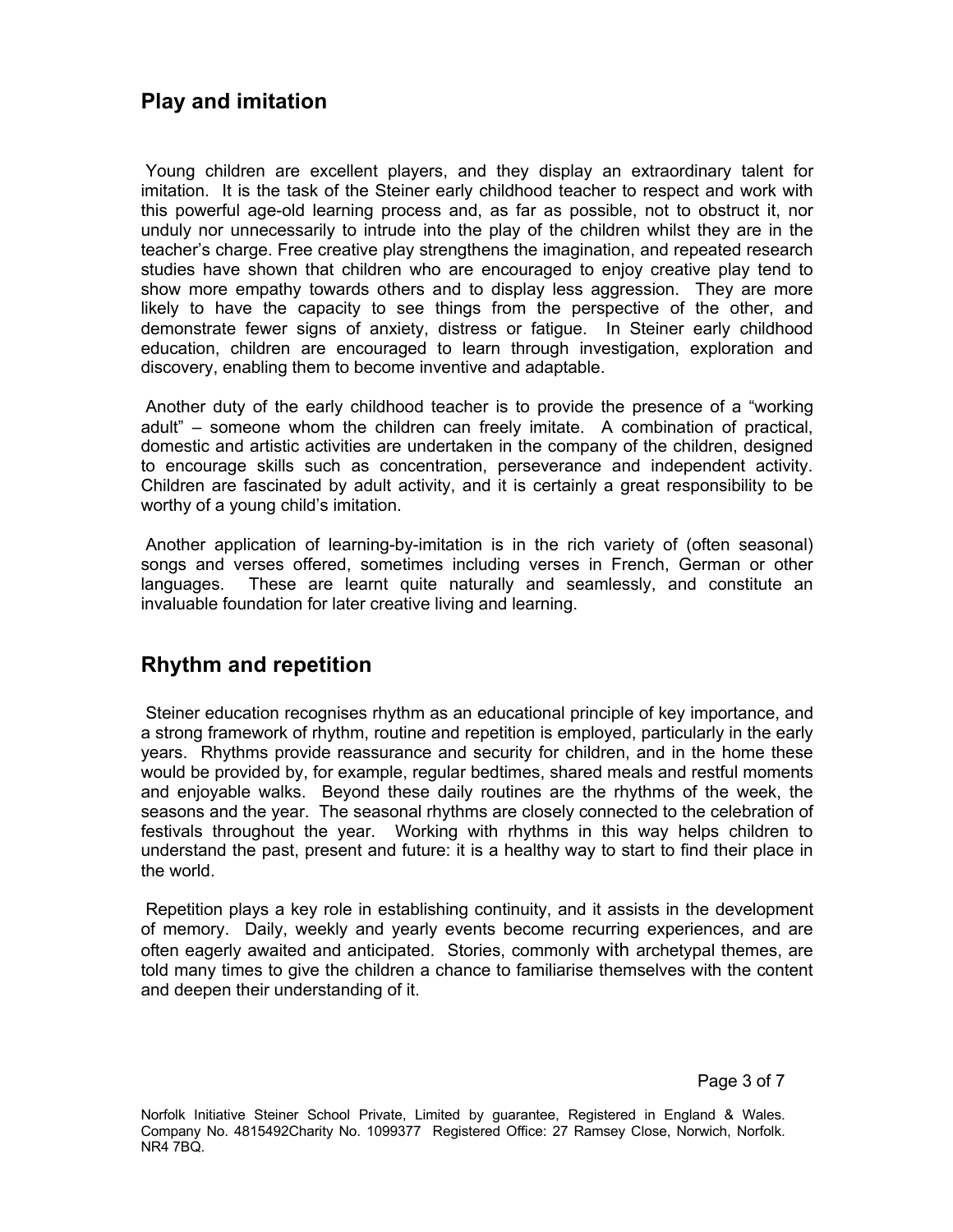## **Play and imitation**

Young children are excellent players, and they display an extraordinary talent for imitation. It is the task of the Steiner early childhood teacher to respect and work with this powerful age-old learning process and, as far as possible, not to obstruct it, nor unduly nor unnecessarily to intrude into the play of the children whilst they are in the teacher's charge. Free creative play strengthens the imagination, and repeated research studies have shown that children who are encouraged to enjoy creative play tend to show more empathy towards others and to display less aggression. They are more likely to have the capacity to see things from the perspective of the other, and demonstrate fewer signs of anxiety, distress or fatigue. In Steiner early childhood education, children are encouraged to learn through investigation, exploration and discovery, enabling them to become inventive and adaptable.

Another duty of the early childhood teacher is to provide the presence of a "working adult" – someone whom the children can freely imitate. A combination of practical, domestic and artistic activities are undertaken in the company of the children, designed to encourage skills such as concentration, perseverance and independent activity. Children are fascinated by adult activity, and it is certainly a great responsibility to be worthy of a young child's imitation.

Another application of learning-by-imitation is in the rich variety of (often seasonal) songs and verses offered, sometimes including verses in French, German or other languages. These are learnt quite naturally and seamlessly, and constitute an invaluable foundation for later creative living and learning.

## **Rhythm and repetition**

Steiner education recognises rhythm as an educational principle of key importance, and a strong framework of rhythm, routine and repetition is employed, particularly in the early years. Rhythms provide reassurance and security for children, and in the home these would be provided by, for example, regular bedtimes, shared meals and restful moments and enjoyable walks. Beyond these daily routines are the rhythms of the week, the seasons and the year. The seasonal rhythms are closely connected to the celebration of festivals throughout the year. Working with rhythms in this way helps children to understand the past, present and future: it is a healthy way to start to find their place in the world.

Repetition plays a key role in establishing continuity, and it assists in the development of memory. Daily, weekly and yearly events become recurring experiences, and are often eagerly awaited and anticipated. Stories, commonly with archetypal themes, are told many times to give the children a chance to familiarise themselves with the content and deepen their understanding of it.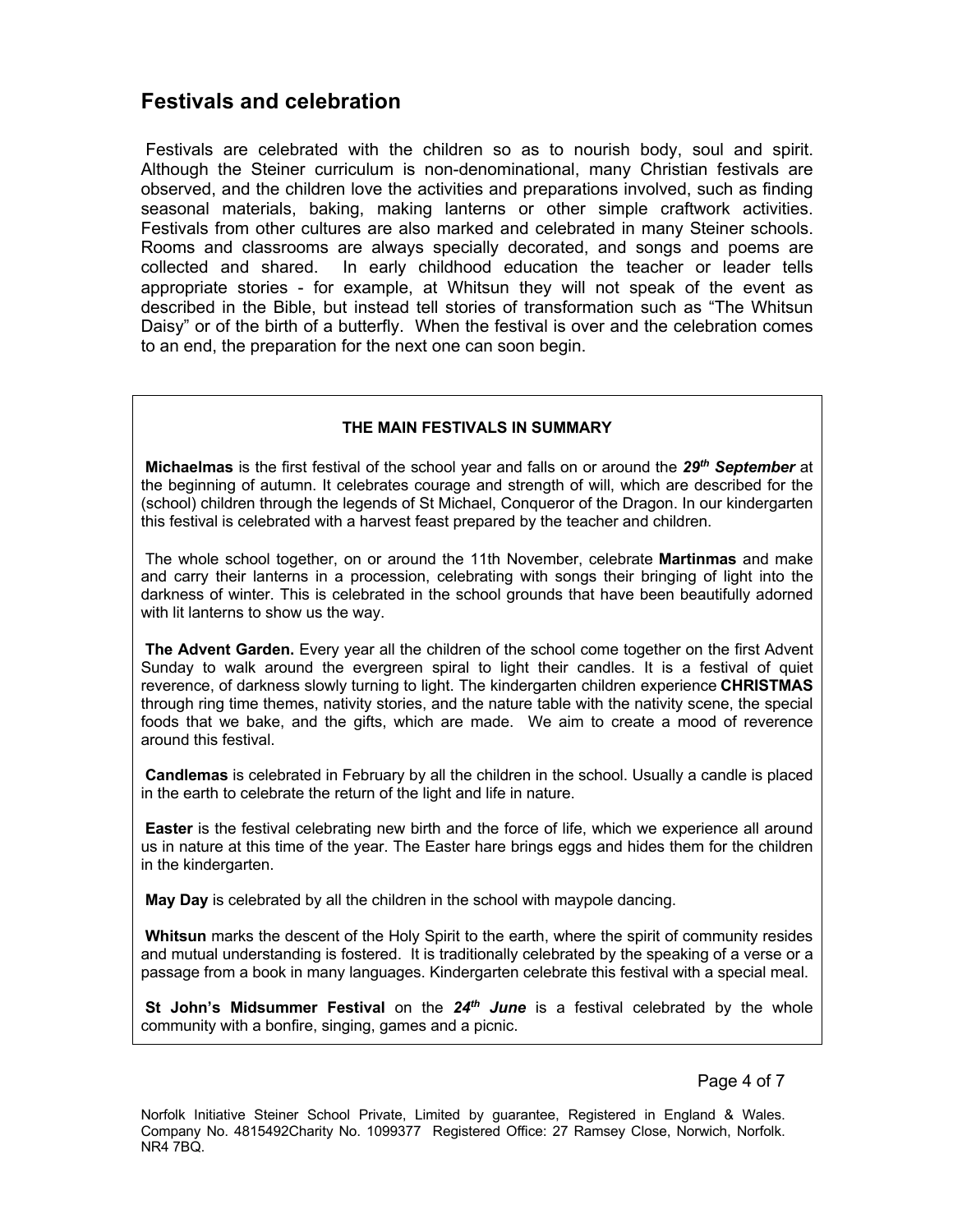### **Festivals and celebration**

Festivals are celebrated with the children so as to nourish body, soul and spirit. Although the Steiner curriculum is non-denominational, many Christian festivals are observed, and the children love the activities and preparations involved, such as finding seasonal materials, baking, making lanterns or other simple craftwork activities. Festivals from other cultures are also marked and celebrated in many Steiner schools. Rooms and classrooms are always specially decorated, and songs and poems are collected and shared. In early childhood education the teacher or leader tells appropriate stories - for example, at Whitsun they will not speak of the event as described in the Bible, but instead tell stories of transformation such as "The Whitsun Daisy" or of the birth of a butterfly. When the festival is over and the celebration comes to an end, the preparation for the next one can soon begin.

#### **THE MAIN FESTIVALS IN SUMMARY**

**Michaelmas** is the first festival of the school year and falls on or around the *29th September* at the beginning of autumn. It celebrates courage and strength of will, which are described for the (school) children through the legends of St Michael, Conqueror of the Dragon. In our kindergarten this festival is celebrated with a harvest feast prepared by the teacher and children.

The whole school together, on or around the 11th November, celebrate **Martinmas** and make and carry their lanterns in a procession, celebrating with songs their bringing of light into the darkness of winter. This is celebrated in the school grounds that have been beautifully adorned with lit lanterns to show us the way.

**The Advent Garden.** Every year all the children of the school come together on the first Advent Sunday to walk around the evergreen spiral to light their candles. It is a festival of quiet reverence, of darkness slowly turning to light. The kindergarten children experience **CHRISTMAS** through ring time themes, nativity stories, and the nature table with the nativity scene, the special foods that we bake, and the gifts, which are made. We aim to create a mood of reverence around this festival.

**Candlemas** is celebrated in February by all the children in the school. Usually a candle is placed in the earth to celebrate the return of the light and life in nature.

**Easter** is the festival celebrating new birth and the force of life, which we experience all around us in nature at this time of the year. The Easter hare brings eggs and hides them for the children in the kindergarten.

**May Day** is celebrated by all the children in the school with maypole dancing.

**Whitsun** marks the descent of the Holy Spirit to the earth, where the spirit of community resides and mutual understanding is fostered. It is traditionally celebrated by the speaking of a verse or a passage from a book in many languages. Kindergarten celebrate this festival with a special meal.

**St John's Midsummer Festival** on the 24<sup>th</sup> June is a festival celebrated by the whole community with a bonfire, singing, games and a picnic.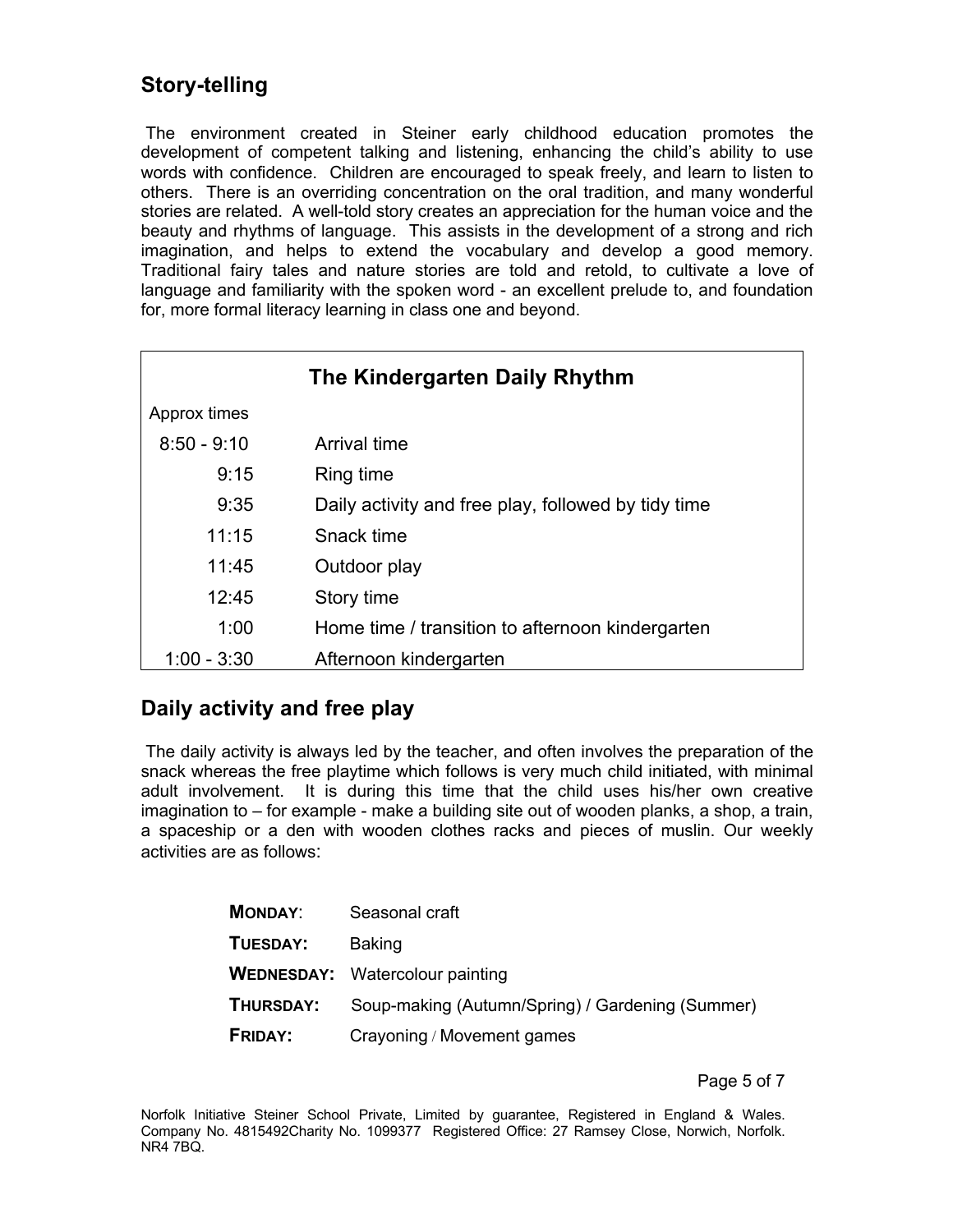# **Story-telling**

The environment created in Steiner early childhood education promotes the development of competent talking and listening, enhancing the child's ability to use words with confidence. Children are encouraged to speak freely, and learn to listen to others. There is an overriding concentration on the oral tradition, and many wonderful stories are related. A well-told story creates an appreciation for the human voice and the beauty and rhythms of language. This assists in the development of a strong and rich imagination, and helps to extend the vocabulary and develop a good memory. Traditional fairy tales and nature stories are told and retold, to cultivate a love of language and familiarity with the spoken word - an excellent prelude to, and foundation for, more formal literacy learning in class one and beyond.

|               | The Kindergarten Daily Rhythm                       |
|---------------|-----------------------------------------------------|
| Approx times  |                                                     |
| $8:50 - 9:10$ | Arrival time                                        |
| 9:15          | Ring time                                           |
| 9:35          | Daily activity and free play, followed by tidy time |
| 11:15         | Snack time                                          |
| 11:45         | Outdoor play                                        |
| 12:45         | Story time                                          |
| 1:00          | Home time / transition to afternoon kindergarten    |
| $1:00 - 3:30$ | Afternoon kindergarten                              |

## **Daily activity and free play**

The daily activity is always led by the teacher, and often involves the preparation of the snack whereas the free playtime which follows is very much child initiated, with minimal adult involvement. It is during this time that the child uses his/her own creative imagination to – for example - make a building site out of wooden planks, a shop, a train, a spaceship or a den with wooden clothes racks and pieces of muslin. Our weekly activities are as follows:

| <b>MONDAY:</b> | Seasonal craft                                   |
|----------------|--------------------------------------------------|
| TUESDAY:       | <b>Baking</b>                                    |
|                | <b>WEDNESDAY:</b> Watercolour painting           |
| THURSDAY:      | Soup-making (Autumn/Spring) / Gardening (Summer) |
| <b>FRIDAY:</b> | Crayoning / Movement games                       |

Page 5 of 7

Norfolk Initiative Steiner School Private, Limited by guarantee, Registered in England & Wales. Company No. 4815492Charity No. 1099377 Registered Office: 27 Ramsey Close, Norwich, Norfolk. NR4 7BQ.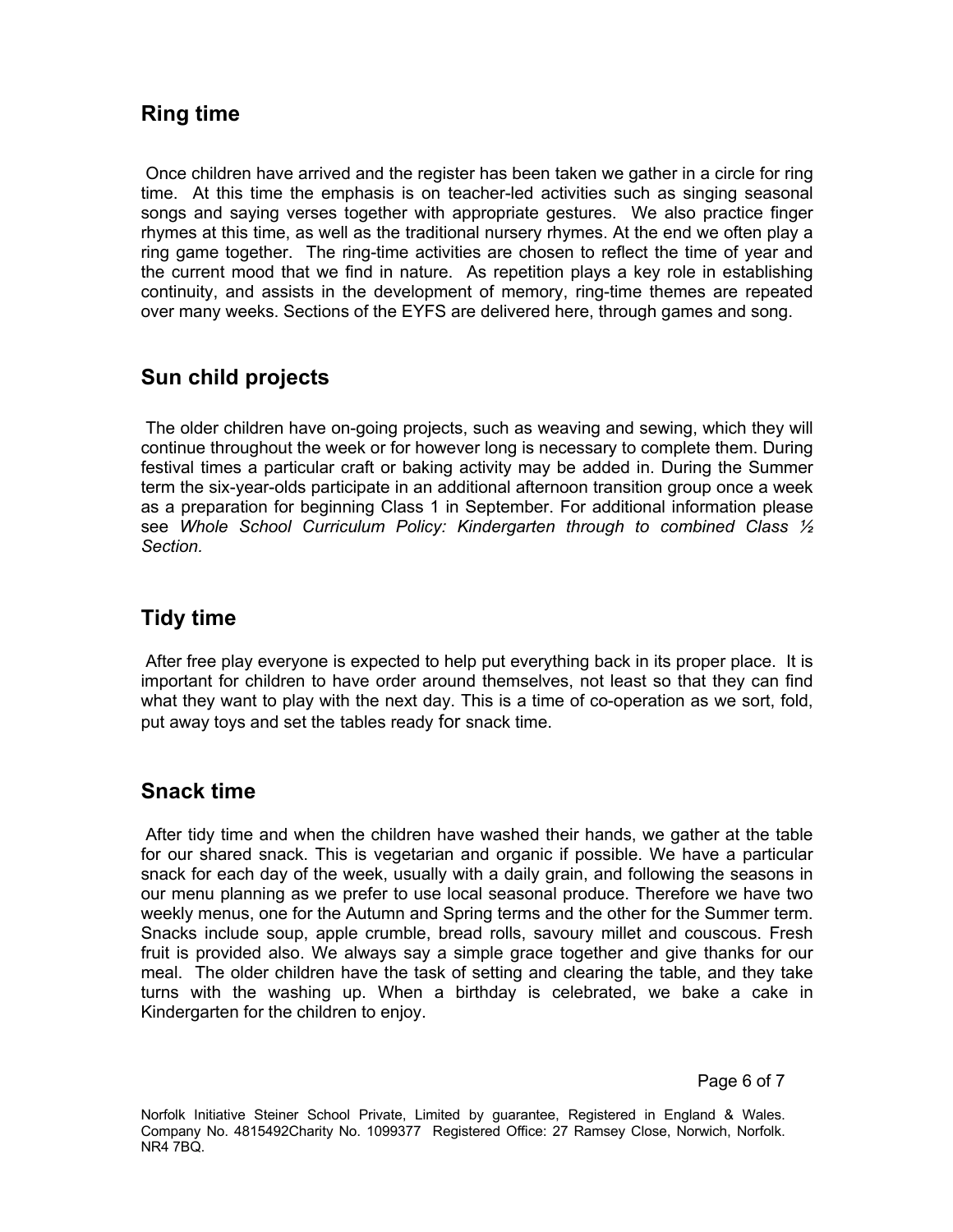# **Ring time**

Once children have arrived and the register has been taken we gather in a circle for ring time. At this time the emphasis is on teacher-led activities such as singing seasonal songs and saying verses together with appropriate gestures. We also practice finger rhymes at this time, as well as the traditional nursery rhymes. At the end we often play a ring game together. The ring-time activities are chosen to reflect the time of year and the current mood that we find in nature. As repetition plays a key role in establishing continuity, and assists in the development of memory, ring-time themes are repeated over many weeks. Sections of the EYFS are delivered here, through games and song.

## **Sun child projects**

The older children have on-going projects, such as weaving and sewing, which they will continue throughout the week or for however long is necessary to complete them. During festival times a particular craft or baking activity may be added in. During the Summer term the six-year-olds participate in an additional afternoon transition group once a week as a preparation for beginning Class 1 in September. For additional information please see *Whole School Curriculum Policy: Kindergarten through to combined Class ½ Section.*

## **Tidy time**

After free play everyone is expected to help put everything back in its proper place. It is important for children to have order around themselves, not least so that they can find what they want to play with the next day. This is a time of co-operation as we sort, fold, put away toys and set the tables ready for snack time.

#### **Snack time**

After tidy time and when the children have washed their hands, we gather at the table for our shared snack. This is vegetarian and organic if possible. We have a particular snack for each day of the week, usually with a daily grain, and following the seasons in our menu planning as we prefer to use local seasonal produce. Therefore we have two weekly menus, one for the Autumn and Spring terms and the other for the Summer term. Snacks include soup, apple crumble, bread rolls, savoury millet and couscous. Fresh fruit is provided also. We always say a simple grace together and give thanks for our meal. The older children have the task of setting and clearing the table, and they take turns with the washing up. When a birthday is celebrated, we bake a cake in Kindergarten for the children to enjoy.